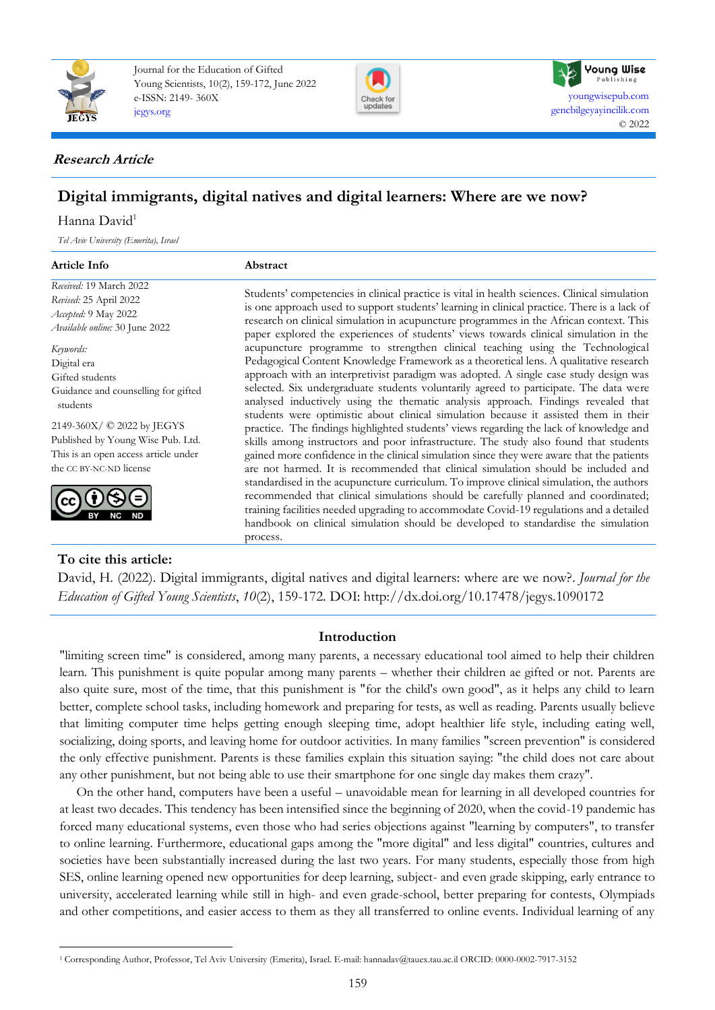

Journal for the Education of Gifted Young Scientists, 10(2), 159-172, June 2022 e-ISSN: 2149- 360X [jegys.org](http://jegys.org/)





## **Research Article**

# **Digital immigrants, digital natives and digital learners: Where are we now?**

## Hanna David<sup>1</sup>

*Tel Aviv University (Emerita), Israel*

**To cite this article:**

| <b>Article Info</b>                                                                                                                                                                                                                  | Abstract                                                                                                                                                                                                                                                                                                                                                                                                                                                                                                                                                                                                                                                                                                                                                                                                                                                                                                                                                                                                                                                                                                                                                                                                                                                                                                                                                                                                                                                                   |
|--------------------------------------------------------------------------------------------------------------------------------------------------------------------------------------------------------------------------------------|----------------------------------------------------------------------------------------------------------------------------------------------------------------------------------------------------------------------------------------------------------------------------------------------------------------------------------------------------------------------------------------------------------------------------------------------------------------------------------------------------------------------------------------------------------------------------------------------------------------------------------------------------------------------------------------------------------------------------------------------------------------------------------------------------------------------------------------------------------------------------------------------------------------------------------------------------------------------------------------------------------------------------------------------------------------------------------------------------------------------------------------------------------------------------------------------------------------------------------------------------------------------------------------------------------------------------------------------------------------------------------------------------------------------------------------------------------------------------|
| Received: 19 March 2022<br>Revised: 25 April 2022<br>Accepted: 9 May 2022<br>Available online: 30 June 2022                                                                                                                          | Students' competencies in clinical practice is vital in health sciences. Clinical simulation<br>is one approach used to support students' learning in clinical practice. There is a lack of<br>research on clinical simulation in acupuncture programmes in the African context. This<br>paper explored the experiences of students' views towards clinical simulation in the<br>acupuncture programme to strengthen clinical teaching using the Technological<br>Pedagogical Content Knowledge Framework as a theoretical lens. A qualitative research<br>approach with an interpretivist paradigm was adopted. A single case study design was<br>selected. Six undergraduate students voluntarily agreed to participate. The data were<br>analysed inductively using the thematic analysis approach. Findings revealed that<br>students were optimistic about clinical simulation because it assisted them in their<br>practice. The findings highlighted students' views regarding the lack of knowledge and<br>skills among instructors and poor infrastructure. The study also found that students<br>gained more confidence in the clinical simulation since they were aware that the patients<br>are not harmed. It is recommended that clinical simulation should be included and<br>standardised in the acupuncture curriculum. To improve clinical simulation, the authors<br>recommended that clinical simulations should be carefully planned and coordinated; |
| Keywords:<br>Digital era<br>Gifted students<br>Guidance and counselling for gifted<br>students<br>2149-360X/ © 2022 by JEGYS<br>Published by Young Wise Pub. Ltd.<br>This is an open access article under<br>the CC BY-NC-ND license |                                                                                                                                                                                                                                                                                                                                                                                                                                                                                                                                                                                                                                                                                                                                                                                                                                                                                                                                                                                                                                                                                                                                                                                                                                                                                                                                                                                                                                                                            |
|                                                                                                                                                                                                                                      | training facilities needed upgrading to accommodate Covid-19 regulations and a detailed<br>handbook on clinical simulation should be developed to standardise the simulation<br>process.                                                                                                                                                                                                                                                                                                                                                                                                                                                                                                                                                                                                                                                                                                                                                                                                                                                                                                                                                                                                                                                                                                                                                                                                                                                                                   |

David, H. (2022). Digital immigrants, digital natives and digital learners: where are we now?. *Journal for the Education of Gifted Young Scientists*, *10*(2), 159-172. DOI: http://dx.doi.org/10.17478/jegys.1090172

## **Introduction**

"limiting screen time" is considered, among many parents, a necessary educational tool aimed to help their children learn. This punishment is quite popular among many parents – whether their children ae gifted or not. Parents are also quite sure, most of the time, that this punishment is "for the child's own good", as it helps any child to learn better, complete school tasks, including homework and preparing for tests, as well as reading. Parents usually believe that limiting computer time helps getting enough sleeping time, adopt healthier life style, including eating well, socializing, doing sports, and leaving home for outdoor activities. In many families "screen prevention" is considered the only effective punishment. Parents is these families explain this situation saying: "the child does not care about any other punishment, but not being able to use their smartphone for one single day makes them crazy".

On the other hand, computers have been a useful – unavoidable mean for learning in all developed countries for at least two decades. This tendency has been intensified since the beginning of 2020, when the covid-19 pandemic has forced many educational systems, even those who had series objections against "learning by computers", to transfer to online learning. Furthermore, educational gaps among the "more digital" and less digital" countries, cultures and societies have been substantially increased during the last two years. For many students, especially those from high SES, online learning opened new opportunities for deep learning, subject- and even grade skipping, early entrance to university, accelerated learning while still in high- and even grade-school, better preparing for contests, Olympiads and other competitions, and easier access to them as they all transferred to online events. Individual learning of any

<sup>1</sup> Corresponding Author, Professor, Tel Aviv University (Emerita), Israel. E-mail: hannadav@tauex.tau.ac.il ORCID: 0000-0002-7917-3152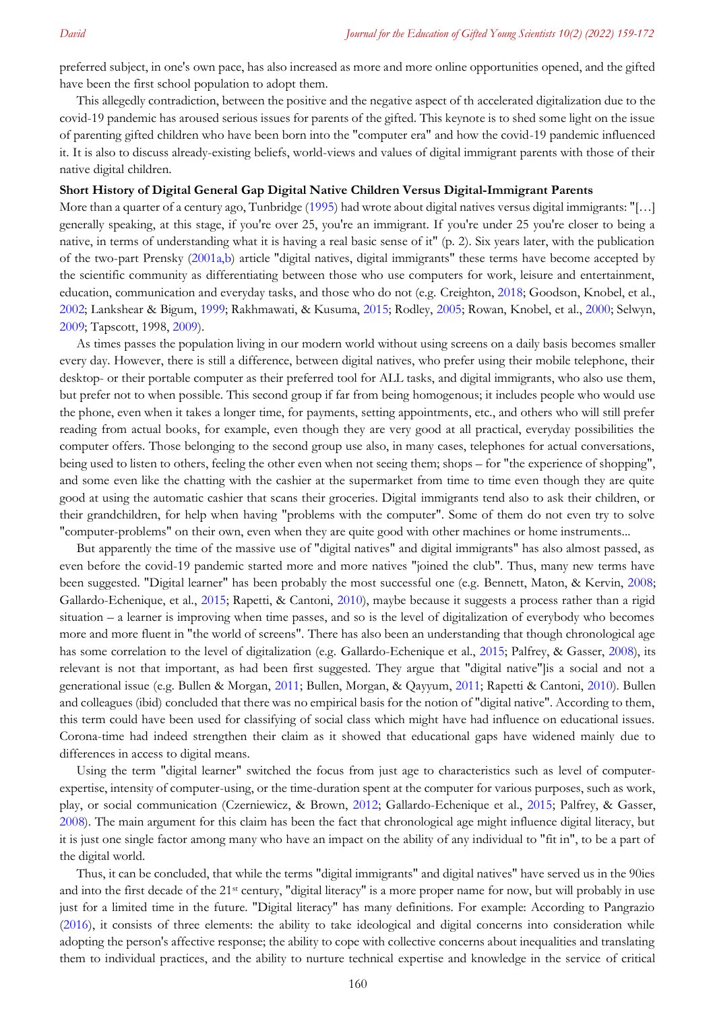preferred subject, in one's own pace, has also increased as more and more online opportunities opened, and the gifted have been the first school population to adopt them.

This allegedly contradiction, between the positive and the negative aspect of th accelerated digitalization due to the covid-19 pandemic has aroused serious issues for parents of the gifted. This keynote is to shed some light on the issue of parenting gifted children who have been born into the "computer era" and how the covid-19 pandemic influenced it. It is also to discuss already-existing beliefs, world-views and values of digital immigrant parents with those of their native digital children.

#### **Short History of Digital General Gap Digital Native Children Versus Digital-Immigrant Parents**

More than a quarter of a century ago, Tunbridge [\(1995](#page-7-0)) had wrote about digital natives versus digital immigrants: "[...] generally speaking, at this stage, if you're over 25, you're an immigrant. If you're under 25 you're closer to being a native, in terms of understanding what it is having a real basic sense of it" (p. 2). Six years later, with the publication of the two-part Prensky [\(2001a,b\)](#page-7-0) article "digital natives, digital immigrants" these terms have become accepted by the scientific community as differentiating between those who use computers for work, leisure and entertainment, education, communication and everyday tasks, and those who do not (e.g. Creighton, [2018;](#page-7-0) Goodson, Knobel, et al., [2002;](#page-7-0) Lankshear & Bigum, [1999;](#page-7-0) Rakhmawati, & Kusuma, [2015;](#page-7-0) Rodley, [2005;](#page-7-0) Rowan, Knobel, et al., [2000;](#page-7-0) Selwyn, [2009;](#page-7-0) Tapscott, 1998, [2009\)](#page-7-0).

As times passes the population living in our modern world without using screens on a daily basis becomes smaller every day. However, there is still a difference, between digital natives, who prefer using their mobile telephone, their desktop- or their portable computer as their preferred tool for ALL tasks, and digital immigrants, who also use them, but prefer not to when possible. This second group if far from being homogenous; it includes people who would use the phone, even when it takes a longer time, for payments, setting appointments, etc., and others who will still prefer reading from actual books, for example, even though they are very good at all practical, everyday possibilities the computer offers. Those belonging to the second group use also, in many cases, telephones for actual conversations, being used to listen to others, feeling the other even when not seeing them; shops – for "the experience of shopping", and some even like the chatting with the cashier at the supermarket from time to time even though they are quite good at using the automatic cashier that scans their groceries. Digital immigrants tend also to ask their children, or their grandchildren, for help when having "problems with the computer". Some of them do not even try to solve "computer-problems" on their own, even when they are quite good with other machines or home instruments...

But apparently the time of the massive use of "digital natives" and digital immigrants" has also almost passed, as even before the covid-19 pandemic started more and more natives "joined the club". Thus, many new terms have been suggested. "Digital learner" has been probably the most successful one (e.g. Bennett, Maton, & Kervin, 2008; Gallardo-Echenique, et al., [2015;](#page-7-0) Rapetti, & Cantoni, [2010\)](#page-7-0), maybe because it suggests a process rather than a rigid situation – a learner is improving when time passes, and so is the level of digitalization of everybody who becomes more and more fluent in "the world of screens". There has also been an understanding that though chronological age has some correlation to the level of digitalization (e.g. Gallardo-Echenique et al., [2015;](#page-7-0) Palfrey, & Gasser, [2008\)](#page-7-0), its relevant is not that important, as had been first suggested. They argue that "digital native"]is a social and not a generational issue (e.g. Bullen & Morgan, [2011;](#page-7-0) Bullen, Morgan, & Qayyum, [2011;](#page-7-0) Rapetti & Cantoni, [2010\)](#page-7-0). Bullen and colleagues (ibid) concluded that there was no empirical basis for the notion of "digital native". According to them, this term could have been used for classifying of social class which might have had influence on educational issues. Corona-time had indeed strengthen their claim as it showed that educational gaps have widened mainly due to differences in access to digital means.

Using the term "digital learner" switched the focus from just age to characteristics such as level of computerexpertise, intensity of computer-using, or the time-duration spent at the computer for various purposes, such as work, play, or social communication (Czerniewicz, & Brown, [2012;](#page-7-0) Gallardo-Echenique et al., [2015;](#page-7-0) Palfrey, & Gasser, [2008\)](#page-7-0). The main argument for this claim has been the fact that chronological age might influence digital literacy, but it is just one single factor among many who have an impact on the ability of any individual to "fit in", to be a part of the digital world.

Thus, it can be concluded, that while the terms "digital immigrants" and digital natives" have served us in the 90ies and into the first decade of the 21<sup>st</sup> century, "digital literacy" is a more proper name for now, but will probably in use just for a limited time in the future. "Digital literacy" has many definitions. For example: According to Pangrazio [\(2016\)](#page-7-0), it consists of three elements: the ability to take ideological and digital concerns into consideration while adopting the person's affective response; the ability to cope with collective concerns about inequalities and translating them to individual practices, and the ability to nurture technical expertise and knowledge in the service of critical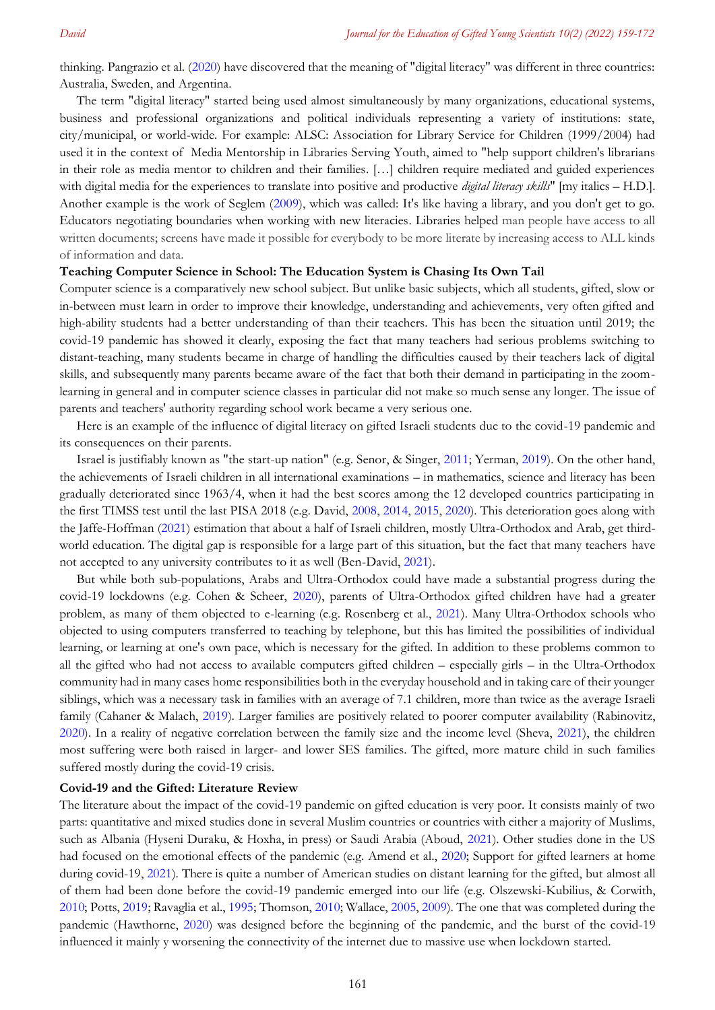thinking. Pangrazio et al. [\(2020\)](#page-7-0) have discovered that the meaning of "digital literacy" was different in three countries: Australia, Sweden, and Argentina.

The term "digital literacy" started being used almost simultaneously by many organizations, educational systems, business and professional organizations and political individuals representing a variety of institutions: state, city/municipal, or world-wide. For example: ALSC: Association for Library Service for Children (1999/2004) had used it in the context of Media [Mentorship](https://www.ala.org/alsc/mediamentorship) in Libraries Serving Youth, aimed to "help support children's librarians in their role as media mentor to children and their families. […] children require mediated and guided experiences with digital media for the experiences to translate into positive and productive *digital literacy skills*" [my italics – H.D.]. Another example is the work of Seglem [\(2009\)](#page-7-0), which was called: It's like having a library, and you don't get to go. Educators negotiating boundaries when working with new literacies. Libraries helped man people have access to all written documents; screens have made it possible for everybody to be more literate by increasing access to ALL kinds of information and data.

#### **Teaching Computer Science in School: The Education System is Chasing Its Own Tail**

Computer science is a comparatively new school subject. But unlike basic subjects, which all students, gifted, slow or in-between must learn in order to improve their knowledge, understanding and achievements, very often gifted and high-ability students had a better understanding of than their teachers. This has been the situation until 2019; the covid-19 pandemic has showed it clearly, exposing the fact that many teachers had serious problems switching to distant-teaching, many students became in charge of handling the difficulties caused by their teachers lack of digital skills, and subsequently many parents became aware of the fact that both their demand in participating in the zoomlearning in general and in computer science classes in particular did not make so much sense any longer. The issue of parents and teachers' authority regarding school work became a very serious one.

Here is an example of the influence of digital literacy on gifted Israeli students due to the covid-19 pandemic and its consequences on their parents.

Israel is justifiably known as "the start-up nation" (e.g. Senor, & Singer, [2011;](#page-7-0) Yerman, [2019\)](#page-7-0). On the other hand, the achievements of Israeli children in all international examinations – in mathematics, science and literacy has been gradually deteriorated since 1963/4, when it had the best scores among the 12 developed countries participating in the first TIMSS test until the last PISA 2018 (e.g. David, [2008, 2014, 2015, 2020\)](#page-7-0). This deterioration goes along with the Jaffe-Hoffman [\(2021\)](#page-7-0) estimation that about a half of Israeli children, mostly Ultra-Orthodox and Arab, get thirdworld education. The digital gap is responsible for a large part of this situation, but the fact that many teachers have not accepted to any university contributes to it as well (Ben-David, [2021\)](#page-7-0).

But while both sub-populations, Arabs and Ultra-Orthodox could have made a substantial progress during the covid-19 lockdowns (e.g. Cohen & Scheer, [2020\)](#page-7-0), parents of Ultra-Orthodox gifted children have had a greater problem, as many of them objected to e-learning (e.g. Rosenberg et al., [2021\)](#page-7-0). Many Ultra-Orthodox schools who objected to using computers transferred to teaching by telephone, but this has limited the possibilities of individual learning, or learning at one's own pace, which is necessary for the gifted. In addition to these problems common to all the gifted who had not access to available computers gifted children – especially girls – in the Ultra-Orthodox community had in many cases home responsibilities both in the everyday household and in taking care of their younger siblings, which was a necessary task in families with an average of 7.1 children, more than twice as the average Israeli family (Cahaner & Malach, [2019\)](#page-7-0). Larger families are positively related to poorer computer availability (Rabinovitz, [2020\)](#page-7-0). In a reality of negative correlation between the family size and the income level (Sheva, [2021\)](#page-7-0), the children most suffering were both raised in larger- and lower SES families. The gifted, more mature child in such families suffered mostly during the covid-19 crisis.

#### **Covid-19 and the Gifted: Literature Review**

The literature about the impact of the covid-19 pandemic on gifted education is very poor. It consists mainly of two parts: quantitative and mixed studies done in several Muslim countries or countries with either a majority of Muslims, such as Albania (Hyseni Duraku, & Hoxha, in press) or Saudi Arabia (Aboud, [2021\)](#page-7-0). Other studies done in the US had focused on the emotional effects of the pandemic (e.g. Amend et al., [2020;](#page-7-0) Support for gifted learners at home during covid-19, [2021\)](#page-7-0). There is quite a number of American studies on distant learning for the gifted, but almost all of them had been done before the covid-19 pandemic emerged into our life (e.g. Olszewski-Kubilius, & Corwith, [2010;](#page-7-0) Potts, [2019;](#page-7-0) Ravaglia et al., [1995;](#page-7-0) Thomson, [2010;](#page-7-0) Wallace[, 2005, 2009\)](#page-7-0). The one that was completed during the pandemic (Hawthorne, [2020\)](#page-7-0) was designed before the beginning of the pandemic, and the burst of the covid-19 influenced it mainly y worsening the connectivity of the internet due to massive use when lockdown started.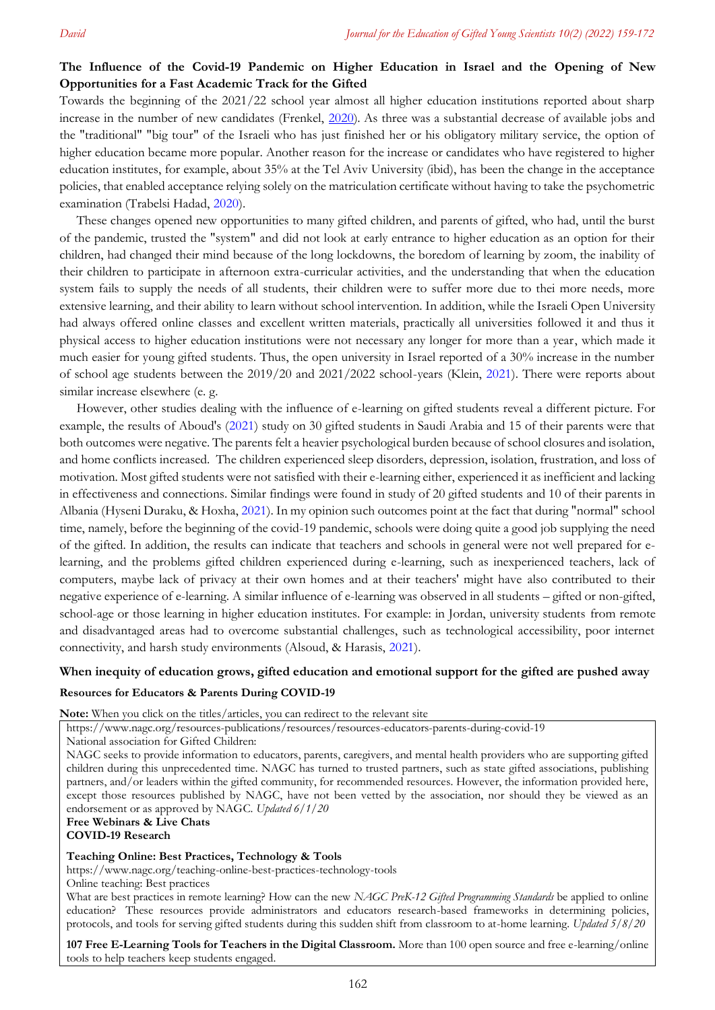## **The Influence of the Covid-19 Pandemic on Higher Education in Israel and the Opening of New Opportunities for a Fast Academic Track for the Gifted**

Towards the beginning of the 2021/22 school year almost all higher education institutions reported about sharp increase in the number of new candidates (Frenkel, [2020\)](#page-7-0). As three was a substantial decrease of available jobs and the "traditional" "big tour" of the Israeli who has just finished her or his obligatory military service, the option of higher education became more popular. Another reason for the increase or candidates who have registered to higher education institutes, for example, about 35% at the Tel Aviv University (ibid), has been the change in the acceptance policies, that enabled acceptance relying solely on the matriculation certificate without having to take the psychometric examination (Trabelsi Hadad, [2020\)](#page-7-0).

These changes opened new opportunities to many gifted children, and parents of gifted, who had, until the burst of the pandemic, trusted the "system" and did not look at early entrance to higher education as an option for their children, had changed their mind because of the long lockdowns, the boredom of learning by zoom, the inability of their children to participate in afternoon extra-curricular activities, and the understanding that when the education system fails to supply the needs of all students, their children were to suffer more due to thei more needs, more extensive learning, and their ability to learn without school intervention. In addition, while the Israeli Open University had always offered online classes and excellent written materials, practically all universities followed it and thus it physical access to higher education institutions were not necessary any longer for more than a year, which made it much easier for young gifted students. Thus, the open university in Israel reported of a 30% increase in the number of school age students between the 2019/20 and 2021/2022 school-years (Klein, [2021\)](#page-7-0). There were reports about similar increase elsewhere (e. g.

However, other studies dealing with the influence of e-learning on gifted students reveal a different picture. For example, the results of Aboud's [\(2021\)](#page-7-0) study on 30 gifted students in Saudi Arabia and 15 of their parents were that both outcomes were negative. The parents felt a heavier psychological burden because of school closures and isolation, and home conflicts increased. The children experienced sleep disorders, depression, isolation, frustration, and loss of motivation. Most gifted students were not satisfied with their e-learning either, experienced it as inefficient and lacking in effectiveness and connections. Similar findings were found in study of 20 gifted students and 10 of their parents in Albania (Hyseni Duraku, & Hoxha, [2021\)](#page-7-0). In my opinion such outcomes point at the fact that during "normal" school time, namely, before the beginning of the covid-19 pandemic, schools were doing quite a good job supplying the need of the gifted. In addition, the results can indicate that teachers and schools in general were not well prepared for elearning, and the problems gifted children experienced during e-learning, such as inexperienced teachers, lack of computers, maybe lack of privacy at their own homes and at their teachers' might have also contributed to their negative experience of e-learning. A similar influence of e-learning was observed in all students – gifted or non-gifted, school-age or those learning in higher education institutes. For example: in Jordan, university students from remote and disadvantaged areas had to overcome substantial challenges, such as technological accessibility, poor internet connectivity, and harsh study environments (Alsoud, & Harasis, [2021\)](#page-7-0).

#### **When inequity of education grows, gifted education and emotional support for the gifted are pushed away**

#### **Resources for Educators & Parents During COVID-19**

**Note:** When you click on the titles/articles, you can redirect to the relevant site

<https://www.nagc.org/resources-publications/resources/resources-educators-parents-during-covid-19>

National association for Gifted Children:

**Free [Webinars](https://www.nagc.org/free-webinars-and-online-events) & Live Chats**

## **[COVID-19](https://www.nagc.org/covid-19-research) Research**

#### **Teaching Online: Best Practices, [Technology](https://www.nagc.org/teaching-online-best-practices-technology-tools) & Tools**

https://www.nagc.org/teaching-online-best-practices-technology-tools

Online teaching: Best practices

What are best practices in remote learning? How can the new *NAGC PreK-12 Gifted Programming Standards* be applied to online education? These resources provide administrators and educators research-based frameworks in determining policies, protocols, and tools for serving gifted students during this sudden shift from classroom to at-home learning. *Updated 5/8/20*

**107 Free [E-Learning](https://wikibuy.com/blog/free-e-learning-tools-for-teachers-4b4046224a40) Tools for Teachers in the Digital Classroom.** More than 100 open source and free e-learning/online tools to help teachers keep students engaged.

NAGC seeks to provide information to educators, parents, caregivers, and mental health providers who are supporting gifted children during this unprecedented time. NAGC has turned to trusted partners, such as state gifted associations, publishing partners, and/or leaders within the gifted community, for recommended resources. However, the information provided here, except those resources published by NAGC, have not been vetted by the association, nor should they be viewed as an endorsement or as approved by NAGC. *Updated 6/1/20*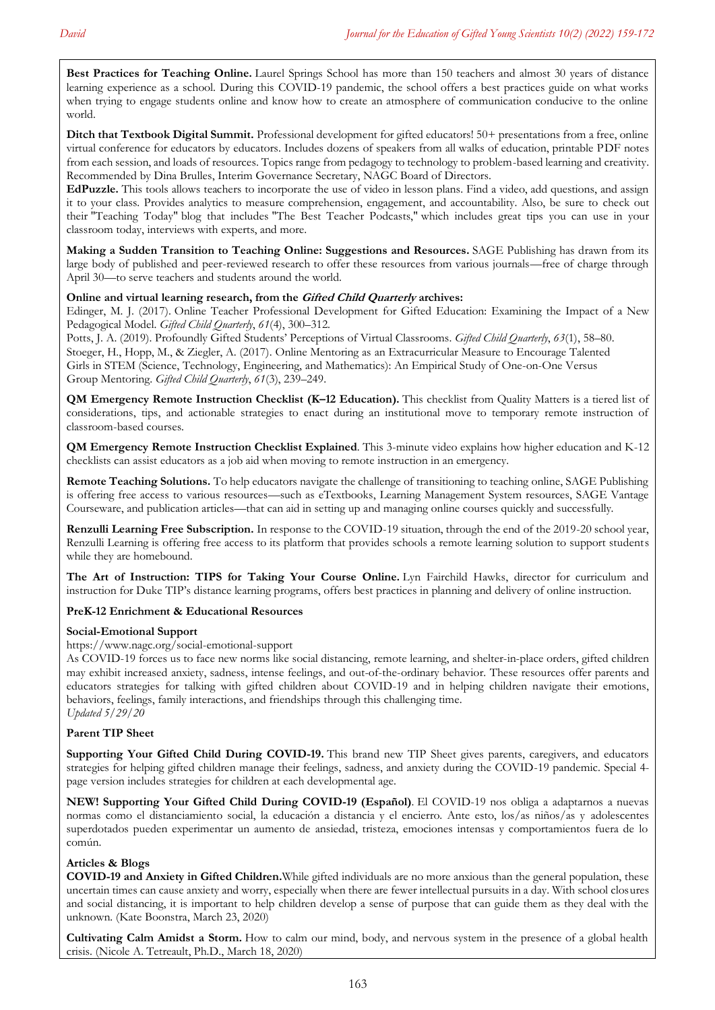**Best Practices for [Teaching](https://laurelsprings.com/best-practices-for-teaching-online/) Online.** Laurel Springs School has more than 150 teachers and almost 30 years of distance learning experience as a school. During this COVID-19 pandemic, the school offers a best practices guide on what works when trying to engage students online and know how to create an atmosphere of communication conducive to the online world.

**Ditch that [Textbook](http://ditchsummit.com/all-ditch-summit-videos/) Digital Summit.** Professional development for gifted educators! 50+ presentations from a free, online virtual conference for educators by educators. Includes dozens of speakers from all walks of education, printable PDF notes from each session, and loads of resources. Topics range from pedagogy to technology to problem-based learning and creativity. Recommended by Dina Brulles, Interim Governance Secretary, NAGC Board of Directors.

**[EdPuzzle.](https://edpuzzle.com/)** This tools allows teachers to incorporate the use of video in lesson plans. Find a video, add questions, and assign it to your class. Provides analytics to measure comprehension, engagement, and accountability. Also, be sure to check out their ["Teaching](https://blog.edpuzzle.com/teaching-today/) Today" blog that includes "The Best Teacher [Podcasts,"](https://blog.edpuzzle.com/teaching-today/the-best-teacher-podcasts/) which includes great tips you can use in your classroom today, interviews with experts, and more.

**Making a Sudden Transition to Teaching Online: [Suggestions](https://www.socialsciencespace.com/2020/03/16-answers-to-your-questions-about-teaching-online/) and Resources.** SAGE Publishing has drawn from its large body of published and peer-reviewed research to offer these resources from various journals—free of charge through April 30—to serve teachers and students around the world.

### **Online and virtual learning research, from the Gifted Child Quarterly archives:**

Edinger, M. J. (2017). Online Teacher Professional [Development](https://doi.org/10.1177/0016986217722616) for Gifted Education: Examining the Impact of a New [Pedagogical](https://doi.org/10.1177/0016986217722616) Model. *Gifted Child Quarterly*, *61*(4), 300–312.

Potts, J. A. (2019). Profoundly Gifted Students' Perceptions of Virtual [Classrooms.](https://doi.org/10.1177/0016986218801075) *Gifted Child Quarterly*, *63*(1), 58–80. Stoeger, H., Hopp, M., & Ziegler, A. (2017). Online Mentoring as an [Extracurricular](https://doi.org/10.1177/0016986217702215) Measure to Encourage Talented Girls in STEM (Science, Technology, Engineering, and [Mathematics\):](https://doi.org/10.1177/0016986217702215) An Empirical Study of One-on-One Versus Group [Mentoring.](https://doi.org/10.1177/0016986217702215) *Gifted Child Quarterly*, *61*(3), 239–249.

**QM Emergency Remote Instruction Checklist (K–12 [Education\).](https://docs.google.com/document/d/e/2PACX-1vTKJSTc2gxVC12Oki9bv3S12dry1ZsfATX8zmdBbuPJZ8ejUBpecTy50Yk_7aOSDwh83WHu0NTpOOK3/pub?utm_source=Quality+Matters+Digital+Communications&utm_campaign=59c8c41e3a-EMAIL_ERIC_2020&utm_medium=email&utm_term=0_355a0627da-59c8c41e3a-34194269&mc_cid=59c8c41e3a&mc_eid=c6af09ea5a)** This checklist from Quality Matters is a tiered list of considerations, tips, and actionable strategies to enact during an institutional move to temporary remote instruction of classroom-based courses.

**QM [Emergency](https://www.youtube.com/watch?v=Swwej3_nUCw&feature=youtu.be&utm_source=Quality+Matters+Digital+Communications&utm_campaign=59c8c41e3a-EMAIL_ERIC_2020&utm_medium=email&utm_term=0_355a0627da-59c8c41e3a-34194269&mc_cid=59c8c41e3a&mc_eid=c6af09ea5a) Remote Instruction Checklist Explained**. This 3-minute video explains how higher education and K-12 checklists can assist educators as a job aid when moving to remote instruction in an emergency.

**Remote Teaching [Solutions.](https://us.sagepub.com/en-us/nam/remote-teaching-solutions)** To help educators navigate the challenge of transitioning to teaching online, SAGE Publishing is offering free access to various resources—such as eTextbooks, Learning Management System resources, SAGE Vantage Courseware, and publication articles—that can aid in setting up and managing online courses quickly and successfully.

**Renzulli Learning Free [Subscription.](https://renzullilearning.com/covid-19/)** In response to the COVID-19 situation, through the end of the 2019-20 school year, Renzulli Learning is offering free access to its platform that provides schools a remote learning solution to support students while they are homebound.

**The Art of [Instruction:](https://blogs.tip.duke.edu/teachersworkshop/tips-for-taking-your-course-online/) TIPS for Taking Your Course Online.** Lyn Fairchild Hawks, director for curriculum and instruction for Duke TIP's distance learning programs, offers best practices in planning and delivery of online instruction.

#### **PreK-12 Enrichment & [Educational](https://www.nagc.org/prek-12-enrichment-educational-resources) Resources**

#### **[Social-Emotional](https://www.nagc.org/social-emotional-support) Support**

<https://www.nagc.org/social-emotional-support>

As COVID-19 forces us to face new norms like social distancing, remote learning, and shelter-in-place orders, gifted children may exhibit increased anxiety, sadness, intense feelings, and out-of-the-ordinary behavior. These resources offer parents and educators strategies for talking with gifted children about COVID-19 and in helping children navigate their emotions, behaviors, feelings, family interactions, and friendships through this challenging time. *Updated 5/29/20*

#### **Parent TIP Sheet**

**Supporting Your Gifted Child During [COVID-19.](http://bit.ly/3dSbDEp)** This brand new TIP Sheet gives parents, caregivers, and educators strategies for helping gifted children manage their feelings, sadness, and anxiety during the COVID-19 pandemic. Special 4 page version includes strategies for children at each developmental age.

**NEW! [Supporting](https://www.nagc.org/sites/default/files/Publication%20PHP/NAGC-COVID-19-ESPANOL.pdf) Your Gifted Child During COVID-19 (Español)**. El COVID-19 nos obliga a adaptarnos a nuevas normas como el distanciamiento social, la educación a distancia y el encierro. Ante esto, los/as niños/as y adolescentes superdotados pueden experimentar un aumento de ansiedad, tristeza, emociones intensas y comportamientos fuera de lo común.

#### **Articles & Blogs**

**[COVID-19](https://www.nagc.org/blog/covid-19-and-anxiety-gifted-children) and Anxiety in Gifted Children.**While gifted individuals are no more anxious than the general population, these uncertain times can cause anxiety and worry, especially when there are fewer intellectual pursuits in a day. With school closures and social distancing, it is important to help children develop a sense of purpose that can guide them as they deal with the unknown. (Kate Boonstra, March 23, 2020)

**[Cultivating](https://www.nicoletetreault.com/single-post/2020/03/18/Cultivating-Calm-Amidst-a-Storm) Calm Amidst a Storm.** How to calm our mind, body, and nervous system in the presence of a global health crisis. (Nicole A. Tetreault, Ph.D., March 18, 2020)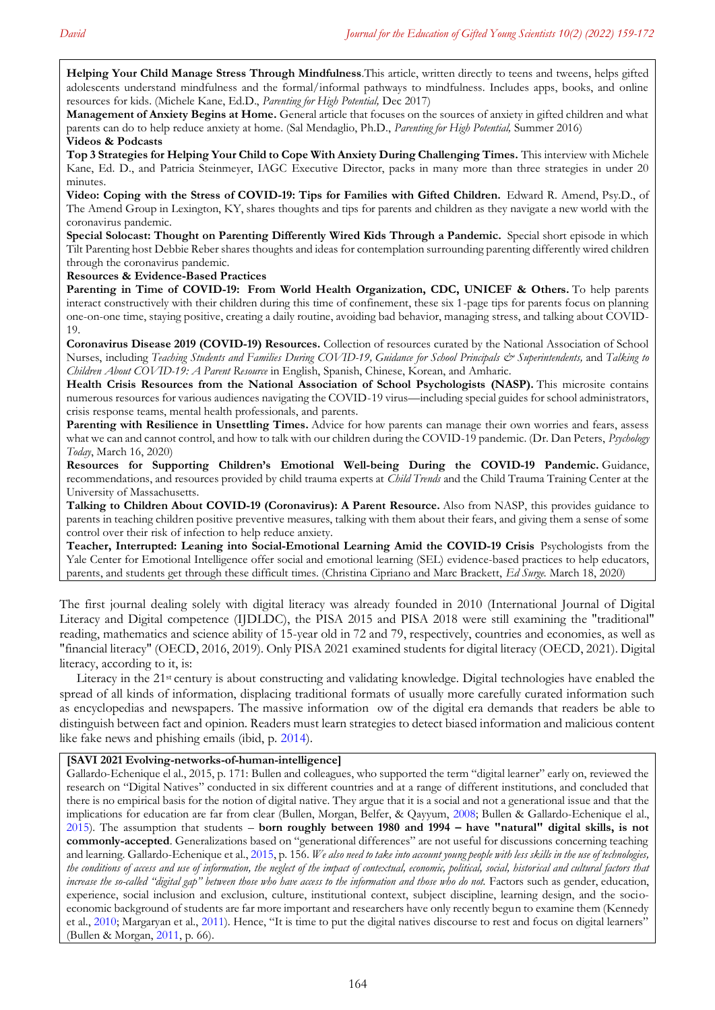**Helping Your Child Manage Stress Through [Mindfulness](https://www.nagc.org/sites/default/files/PHP_dec2017_Mindfulness-Kane.pdf)**.This article, written directly to teens and tweens, helps gifted adolescents understand mindfulness and the formal/informal pathways to mindfulness. Includes apps, books, and online resources for kids. (Michele Kane, Ed.D., *Parenting for High Potential,* Dec 2017)

**[Management](https://www.nagc.org/sites/default/files/Management%20of%20Anxiety-Mendaglio-PHP%20Summer%202016.pdf) of Anxiety Begins at Home.** General article that focuses on the sources of anxiety in gifted children and what parents can do to help reduce anxiety at home. (Sal Mendaglio, Ph.D., *Parenting for High Potential,* Summer 2016) **Videos & Podcasts**

**Top 3 Strategies for Helping Your Child to Cope With Anxiety During [Challenging](http://www.youtube.com/watch?v=J1oPE7ojh70&feature=youtu.be) Times.** This interview with Michele Kane, Ed. D., and Patricia Steinmeyer, IAGC Executive Director, packs in many more than three strategies in under 20 minutes.

**Video: Coping with the Stress of [COVID-19:](https://www.youtube.com/watch?v=ORYGc5STaKM&feature=youtu.be) Tips for Families with Gifted Children.** Edward R. Amend, Psy.D., of The Amend Group in Lexington, KY, shares thoughts and tips for parents and children as they navigate a new world with the coronavirus pandemic.

**Special Solocast: Thought on Parenting [Differently](https://tiltparenting.com/2020/03/23/special-solocast-thoughts-on-parenting-differently-wired-kids-through-a-pandemic/) Wired Kids Through a Pandemic.** Special short episode in which Tilt Parenting host Debbie Reber shares thoughts and ideas for contemplation surrounding parenting differently wired children through the coronavirus pandemic.

**Resources & Evidence-Based Practices**

**Parenting in Time of COVID-19: From World Health [Organization,](https://www.who.int/emergencies/diseases/novel-coronavirus-2019/advice-for-public/healthy-parenting) CDC, UNICEF & Others.** To help parents interact constructively with their children during this time of confinement, these six 1-page tips for parents focus on planning one-on-one time, staying positive, creating a daily routine, avoiding bad behavior, managing stress, and talking about COVID-19.

**Coronavirus Disease 2019 [\(COVID-19\)](https://www.nasn.org/nasn-resources/practice-topics/covid19) Resources.** Collection of resources curated by the National Association of School Nurses, including Teaching Students and Families During [COVID-19,](https://higherlogicdownload.s3.amazonaws.com/NASN/3870c72d-fff9-4ed7-833f-215de278d256/UploadedImages/PDFs/03182020_NASN_Teaching_Children_and_Families_Regarding_COVID-19.pdf) Guidance for School Principals & [Superintendents,](https://higherlogicdownload.s3.amazonaws.com/NASN/3870c72d-fff9-4ed7-833f-215de278d256/UploadedImages/PDFs/02282020_NASN_Coronavirus_19_Guidance_for_School_Principals_and_Superintendents.pdf) and Talking to *Children About COVID-19: A Parent Resource* in [English,](https://higherlogicdownload.s3.amazonaws.com/NASN/3870c72d-fff9-4ed7-833f-215de278d256/UploadedImages/PDFs/02292020_NASP_NASN_COVID-19_parent_handout.pdf) [Spanish,](https://higherlogicdownload.s3.amazonaws.com/NASN/3870c72d-fff9-4ed7-833f-215de278d256/UploadedImages/PDFs/02292020_NASP_NASN_COVID-19_parent_handout_Spanish.pdf) [Chinese,](https://higherlogicdownload.s3.amazonaws.com/NASN/3870c72d-fff9-4ed7-833f-215de278d256/UploadedImages/PDFs/02292020_NASP_NASN_COVID-19_parent_handout_Chinese.pdf) [Korean,](https://higherlogicdownload.s3.amazonaws.com/NASN/3870c72d-fff9-4ed7-833f-215de278d256/UploadedImages/PDFs/02292020_NASP_NASN_COVID-19_parent_handout_Korean.pdf) and [Amharic.](https://higherlogicdownload.s3.amazonaws.com/NASN/3870c72d-fff9-4ed7-833f-215de278d256/UploadedImages/PDFs/02292020_NASP_NASN_COVID-19_parent_handout_Amharic.pdf)

**Health Crisis Resources from the National Association of School [Psychologists](https://www.nasponline.org/resources-and-publications/resources-and-podcasts/school-climate-safety-and-crisis/health-crisis-resources) (NASP).** This microsite contains numerous resources for various audiences navigating the COVID-19 virus—including special guides for school administrators, crisis response teams, mental health professionals, and parents.

**Parenting with Resilience in [Unsettling](https://www.psychologytoday.com/us/blog/worrier-warrior/202003/parenting-resilience-in-unsettling-times) Times.** Advice for how parents can manage their own worries and fears, assess what we can and cannot control, and how to talk with our children during the COVID-19 pandemic. (Dr. Dan Peters, *Psychology Today*, March 16, 2020)

**Resources for [Supporting](https://www.childtrends.org/publications/resources-for-supporting-childrens-emotional-well-being-during-the-covid-19-pandemic) Children's Emotional Well-being During the COVID-19 Pandemic.** Guidance, recommendations, and resources provided by child trauma experts at *Child Trends* and the Child Trauma Training Center at the University of Massachusetts.

**Talking to Children About COVID-19 [\(Coronavirus\):](https://www.nasponline.org/resources-and-publications/resources-and-podcasts/school-climate-safety-and-crisis/health-crisis-resources/talking-to-children-about-covid-19-(coronavirus)-a-parent-resource) A Parent Resource.** Also from NASP, this provides guidance to parents in teaching children positive preventive measures, talking with them about their fears, and giving them a sense of some control over their risk of infection to help reduce anxiety.

**Teacher, Interrupted: Leaning into [Social-Emotional](https://www.edsurge.com/news/2020-03-18-teacher-interrupted-leaning-into-social-emotional-learning-amid-the-covid-19-crisis) Learning Amid the COVID-19 Crisis** Psychologists from the Yale Center for Emotional Intelligence offer social and emotional learning (SEL) evidence-based practices to help educators, parents, and students get through these difficult times. (Christina Cipriano and Marc Brackett, *Ed Surge.* March 18, 2020)

The first journal dealing solely with digital literacy was already founded in 2010 (International Journal of Digital Literacy and Digital competence (IJDLDC), the PISA 2015 and PISA 2018 were still examining the "traditional" reading, mathematics and science ability of 15-year old in 72 and 79, respectively, countries and economies, as well as "financial literacy" (OECD, 2016, 2019). Only PISA 2021 examined students for digital literacy (OECD, 2021). Digital literacy, according to it, is:

Literacy in the 21st century is about constructing and validating knowledge. Digital technologies have enabled the spread of all kinds of information, displacing traditional formats of usually more carefully curated information such as encyclopedias and newspapers. The massive information ow of the digital era demands that readers be able to distinguish between fact and opinion. Readers must learn strategies to detect biased information and malicious content like fake news and phishing emails (ibid, p. [2014\)](#page-7-0).

## **[SAVI 2021 Evolving-networks-of-human-intelligence]**

Gallardo-Echenique el al., 2015, p. 171: Bullen and colleagues, who supported the term "digital learner" early on, reviewed the research on "Digital Natives" conducted in six different countries and at a range of different institutions, and concluded that there is no empirical basis for the notion of digital native. They argue that it is a social and not a generational issue and that the implications for education are far from clear (Bullen, Morgan, Belfer, & Qayyum, [2008;](#page-7-0) Bullen & Gallardo-Echenique el al., [2015\)](#page-7-0). The assumption that students – **born roughly between 1980 and 1994 – have "natural" digital skills, is not commonly-accepted**. Generalizations based on "generational differences" are not useful for discussions concerning teaching and learning. Gallardo-Echenique et al.[, 2015,](#page-7-0) p. 156. *We also need to take into account young people with less skills in the use of technologies, the conditions of access and use of information, the neglect of the impact of contextual, economic, political, social, historical and cultural factors that increase the so-called "digital gap" between those who have access to the information and those who do not.* Factors such as gender, education, experience, social inclusion and exclusion, culture, institutional context, subject discipline, learning design, and the socioeconomic background of students are far more important and researchers have only recently begun to examine them (Kennedy et al., [2010;](#page-7-0) Margaryan et al.[, 2011](#page-7-0)). Hence, "It is time to put the digital natives discourse to rest and focus on digital learners" (Bullen & Morgan, [2011,](#page-7-0) p. 66).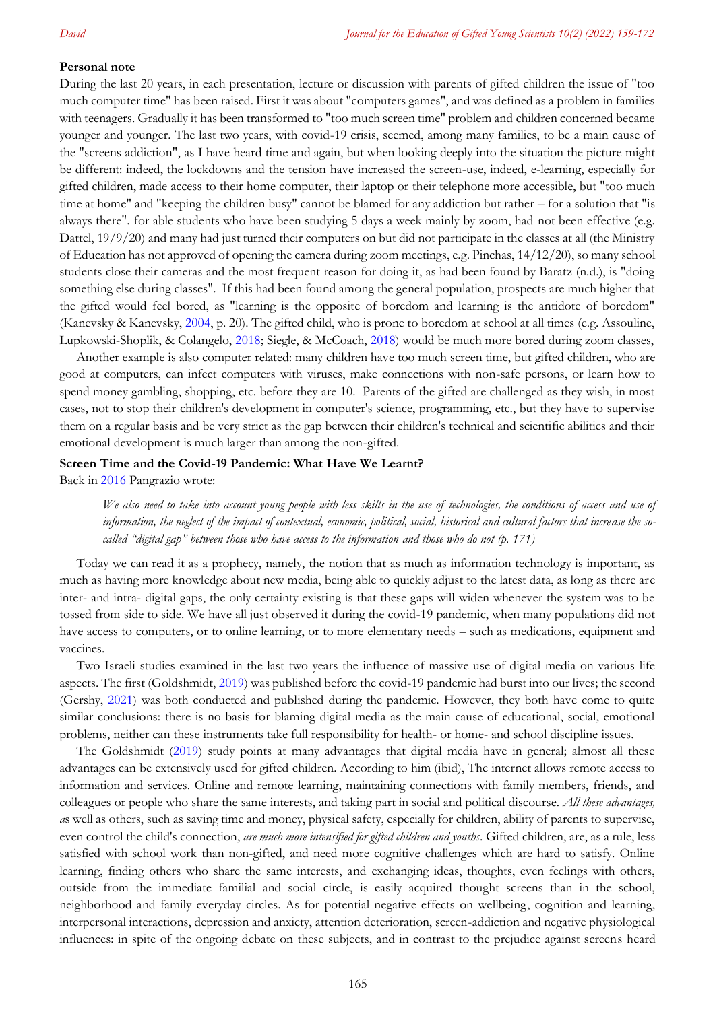#### **Personal note**

During the last 20 years, in each presentation, lecture or discussion with parents of gifted children the issue of "too much computer time" has been raised. First it was about "computers games", and was defined as a problem in families with teenagers. Gradually it has been transformed to "too much screen time" problem and children concerned became younger and younger. The last two years, with covid-19 crisis, seemed, among many families, to be a main cause of the "screens addiction", as I have heard time and again, but when looking deeply into the situation the picture might be different: indeed, the lockdowns and the tension have increased the screen-use, indeed, e-learning, especially for gifted children, made access to their home computer, their laptop or their telephone more accessible, but "too much time at home" and "keeping the children busy" cannot be blamed for any addiction but rather – for a solution that "is always there". for able students who have been studying 5 days a week mainly by zoom, had not been effective (e.g. Dattel, 19/9/20) and many had just turned their computers on but did not participate in the classes at all (the Ministry of Education has not approved of opening the camera during zoom meetings, e.g. Pinchas, 14/12/20), so many school students close their cameras and the most frequent reason for doing it, as had been found by Baratz (n.d.), is "doing something else during classes". If this had been found among the general population, prospects are much higher that the gifted would feel bored, as "learning is the opposite of boredom and learning is the antidote of boredom" (Kanevsky & Kanevsky, [2004,](#page-7-0) p. 20). The gifted child, who is prone to boredom at school at all times (e.g. Assouline, Lupkowski-Shoplik, & Colangelo, [2018;](#page-7-0) Siegle, & McCoach, [2018\)](#page-7-0) would be much more bored during zoom classes,

Another example is also computer related: many children have too much screen time, but gifted children, who are good at computers, can infect computers with viruses, make connections with non-safe persons, or learn how to spend money gambling, shopping, etc. before they are 10. Parents of the gifted are challenged as they wish, in most cases, not to stop their children's development in computer's science, programming, etc., but they have to supervise them on a regular basis and be very strict as the gap between their children's technical and scientific abilities and their emotional development is much larger than among the non-gifted.

#### **Screen Time and the Covid-19 Pandemic: What Have We Learnt?**

Back in [2016](#page-7-0) Pangrazio wrote:

*We also need to take into account young people with less skills in the use of technologies, the conditions of access and use of information, the neglect of the impact of contextual, economic, political, social, historical and cultural factors that increase the socalled "digital gap" between those who have access to the information and those who do not (p. 171)*

Today we can read it as a prophecy, namely, the notion that as much as information technology is important, as much as having more knowledge about new media, being able to quickly adjust to the latest data, as long as there are inter- and intra- digital gaps, the only certainty existing is that these gaps will widen whenever the system was to be tossed from side to side. We have all just observed it during the covid-19 pandemic, when many populations did not have access to computers, or to online learning, or to more elementary needs – such as medications, equipment and vaccines.

Two Israeli studies examined in the last two years the influence of massive use of digital media on various life aspects. The first (Goldshmidt, [2019\)](#page-7-0) was published before the covid-19 pandemic had burst into our lives; the second (Gershy, [2021\)](#page-7-0) was both conducted and published during the pandemic. However, they both have come to quite similar conclusions: there is no basis for blaming digital media as the main cause of educational, social, emotional problems, neither can these instruments take full responsibility for health- or home- and school discipline issues.

The Goldshmidt [\(2019\)](#page-7-0) study points at many advantages that digital media have in general; almost all these advantages can be extensively used for gifted children. According to him (ibid), The internet allows remote access to information and services. Online and remote learning, maintaining connections with family members, friends, and colleagues or people who share the same interests, and taking part in social and political discourse. *All these advantages, a*s well as others, such as saving time and money, physical safety, especially for children, ability of parents to supervise, even control the child's connection, *are much more intensified for gifted children and youths*. Gifted children, are, as a rule, less satisfied with school work than non-gifted, and need more cognitive challenges which are hard to satisfy. Online learning, finding others who share the same interests, and exchanging ideas, thoughts, even feelings with others, outside from the immediate familial and social circle, is easily acquired thought screens than in the school, neighborhood and family everyday circles. As for potential negative effects on wellbeing, cognition and learning, interpersonal interactions, depression and anxiety, attention deterioration, screen-addiction and negative physiological influences: in spite of the ongoing debate on these subjects, and in contrast to the prejudice against screens heard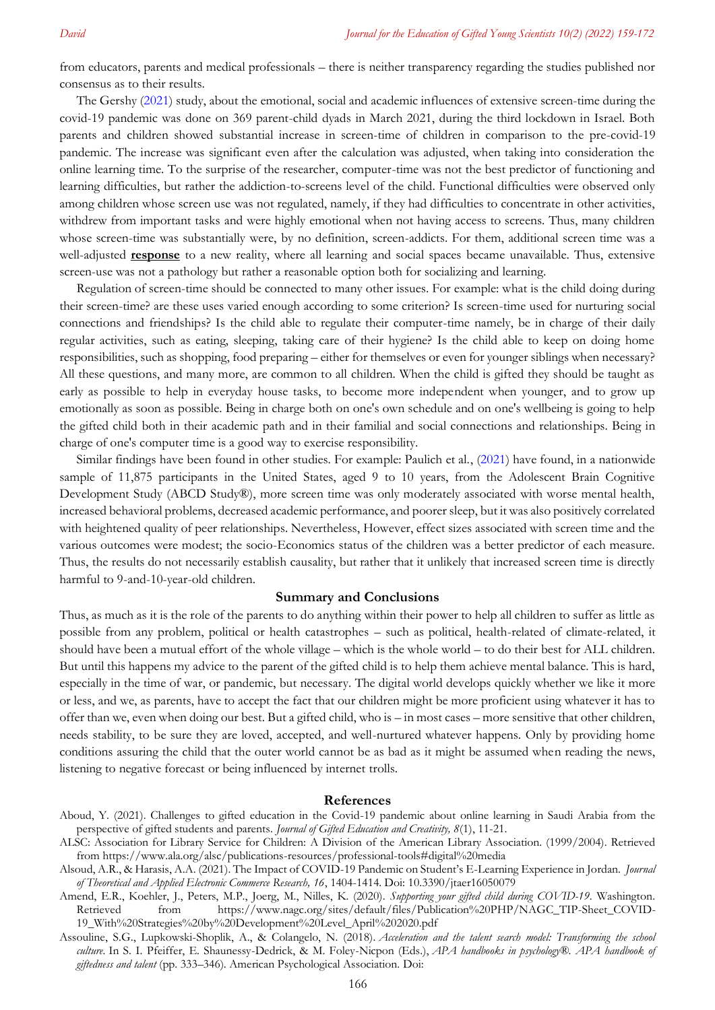from educators, parents and medical professionals – there is neither transparency regarding the studies published nor consensus as to their results.

The Gershy [\(2021\)](#page-7-0) study, about the emotional, social and academic influences of extensive screen-time during the covid-19 pandemic was done on 369 parent-child dyads in March 2021, during the third lockdown in Israel. Both parents and children showed substantial increase in screen-time of children in comparison to the pre-covid-19 pandemic. The increase was significant even after the calculation was adjusted, when taking into consideration the online learning time. To the surprise of the researcher, computer-time was not the best predictor of functioning and learning difficulties, but rather the addiction-to-screens level of the child. Functional difficulties were observed only among children whose screen use was not regulated, namely, if they had difficulties to concentrate in other activities, withdrew from important tasks and were highly emotional when not having access to screens. Thus, many children whose screen-time was substantially were, by no definition, screen-addicts. For them, additional screen time was a well-adjusted **response** to a new reality, where all learning and social spaces became unavailable. Thus, extensive screen-use was not a pathology but rather a reasonable option both for socializing and learning.

Regulation of screen-time should be connected to many other issues. For example: what is the child doing during their screen-time? are these uses varied enough according to some criterion? Is screen-time used for nurturing social connections and friendships? Is the child able to regulate their computer-time namely, be in charge of their daily regular activities, such as eating, sleeping, taking care of their hygiene? Is the child able to keep on doing home responsibilities, such as shopping, food preparing – either for themselves or even for younger siblings when necessary? All these questions, and many more, are common to all children. When the child is gifted they should be taught as early as possible to help in everyday house tasks, to become more independent when younger, and to grow up emotionally as soon as possible. Being in charge both on one's own schedule and on one's wellbeing is going to help the gifted child both in their academic path and in their familial and social connections and relationships. Being in charge of one's computer time is a good way to exercise responsibility.

Similar findings have been found in other studies. For example: Paulich et al., [\(2021\)](#page-7-0) have found, in a nationwide sample of 11,875 participants in the United States, aged 9 to 10 years, from the Adolescent Brain Cognitive Development Study (ABCD Study®), more screen time was only moderately associated with worse mental health, increased behavioral problems, decreased academic performance, and poorer sleep, but it was also positively correlated with heightened quality of peer relationships. Nevertheless, However, effect sizes associated with screen time and the various outcomes were modest; the socio-Economics status of the children was a better predictor of each measure. Thus, the results do not necessarily establish causality, but rather that it unlikely that increased screen time is directly harmful to 9-and-10-year-old children.

### **Summary and Conclusions**

Thus, as much as it is the role of the parents to do anything within their power to help all children to suffer as little as possible from any problem, political or health catastrophes – such as political, health-related of climate-related, it should have been a mutual effort of the whole village – which is the whole world – to do their best for ALL children. But until this happens my advice to the parent of the gifted child is to help them achieve mental balance. This is hard, especially in the time of war, or pandemic, but necessary. The digital world develops quickly whether we like it more or less, and we, as parents, have to accept the fact that our children might be more proficient using whatever it has to offer than we, even when doing our best. But a gifted child, who is – in most cases – more sensitive that other children, needs stability, to be sure they are loved, accepted, and well-nurtured whatever happens. Only by providing home conditions assuring the child that the outer world cannot be as bad as it might be assumed when reading the news, listening to negative forecast or being influenced by internet trolls.

#### <span id="page-7-0"></span>**References**

- Aboud, Y. (2021). Challenges to gifted education in the Covid-19 pandemic about online learning in Saudi Arabia from the perspective of gifted students and parents. *Journal of Gifted Education and Creativity, 8*(1), 11-21.
- ALSC: Association for Library Service for Children: A Division of the American Library Association. (1999/2004). Retrieved from<https://www.ala.org/alsc/publications-resources/professional-tools#digital%20media>
- Alsoud, A.R., & Harasis, A.A. (2021). The Impact of COVID-19 Pandemic on Student's E-Learning Experience in Jordan. *Journal of Theoretical and Applied Electronic Commerce Research, 16*, 1404-1414. Doi: 10.3390/jtaer16050079
- Amend, E.R., Koehler, J., Peters, M.P., Joerg, M., Nilles, K. (2020). *Supporting your gifted child during COVID-19*. Washington. Retrieved from [https://www.nagc.org/sites/default/files/Publication%20PHP/NAGC\\_TIP-Sheet\\_COVID-](https://www.nagc.org/sites/default/files/Publication%20PHP/NAGC_TIP-Sheet_COVID-19_With%20Strategies%20by%20Development%20Level_April%202020.pdf)[19\\_With%20Strategies%20by%20Development%20Level\\_April%202020.pdf](https://www.nagc.org/sites/default/files/Publication%20PHP/NAGC_TIP-Sheet_COVID-19_With%20Strategies%20by%20Development%20Level_April%202020.pdf)
- Assouline, S.G., Lupkowski-Shoplik, A., & Colangelo, N. (2018). *Acceleration and the talent search model: Transforming the school culture.* In S. I. Pfeiffer, E. Shaunessy-Dedrick, & M. Foley-Nicpon (Eds.), *APA handbooks in psychology®. APA handbook of giftedness and talent* (pp. 333–346). American Psychological Association. Doi: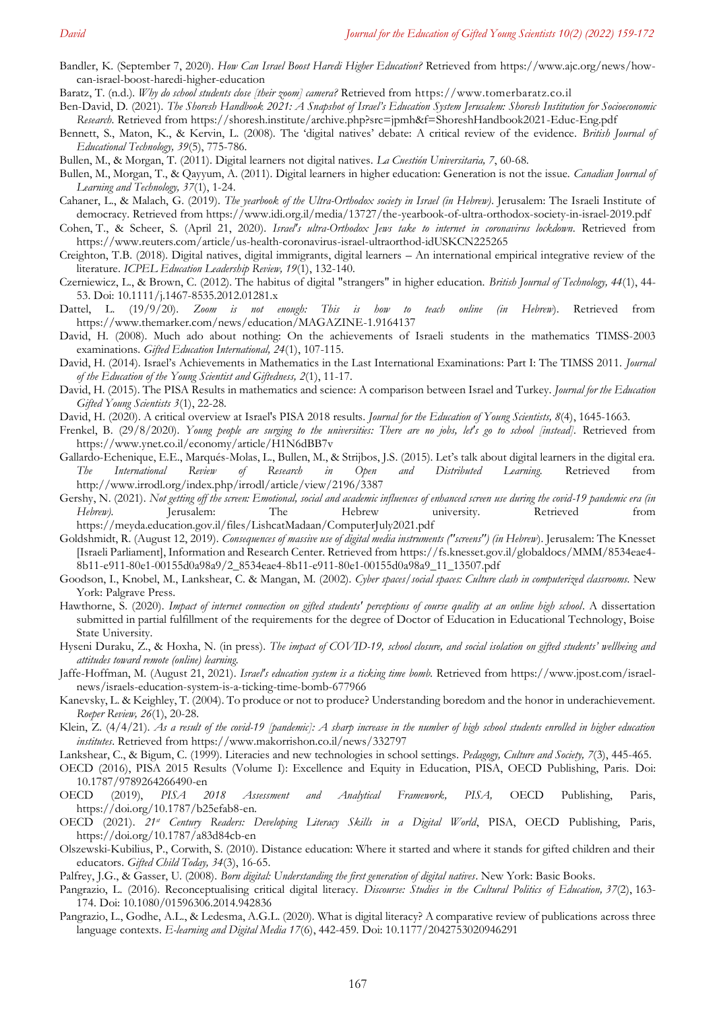- Bandler, K. (September 7, 2020). *How Can Israel Boost Haredi Higher Education?* Retrieved from https://www.ajc.org/news/howcan-israel-boost-haredi-higher-education
- Baratz, T. (n.d.). *Why do school students close [their zoom] camera?* Retrieved from [https://www.tomerbaratz.co.il](https://www.tomerbaratz.co.il/)
- Ben-David, D. (2021). *The Shoresh Handbook 2021: A Snapshot of Israel's Education System Jerusalem: Shoresh Institution for Socioeconomic Research.* Retrieved from<https://shoresh.institute/archive.php?src=jpmh&f=ShoreshHandbook2021-Educ-Eng.pdf>
- Bennett, S., Maton, K., & Kervin, L. (2008). The 'digital natives' debate: A critical review of the evidence. *British Journal of Educational Technology, 39*(5), 775-786.
- Bullen, M., & Morgan, T. (2011). Digital learners not digital natives. *La Cuestión Universitaria, 7*, 60-68.
- Bullen, M., Morgan, T., & Qayyum, A. (2011). Digital learners in higher education: Generation is not the issue. *Canadian Journal of Learning and Technology, 37*(1), 1-24.
- Cahaner, L., & Malach, G. (2019). *The yearbook of the Ultra-Orthodox society in Israel (in Hebrew)*. Jerusalem: The Israeli Institute of democracy. Retrieved from https://www.idi.org.il/media/13727/the-yearbook-of-ultra-orthodox-society-in-israel-2019.pdf
- [Cohen,](https://www.reuters.com/journalists/tova-cohen) T., & [Scheer,](https://www.reuters.com/journalists/steven-scheer) S. (April 21, 2020). *Israel's ultra-Orthodox Jews take to internet in coronavirus lockdown*. Retrieved from <https://www.reuters.com/article/us-health-coronavirus-israel-ultraorthod-idUSKCN225265>
- Creighton, T.B. (2018). Digital natives, digital immigrants, digital learners An international empirical integrative review of the literature. *ICPEL Education Leadership Review, 19*(1), 132-140.
- Czerniewicz, L., & Brown, C. (2012). The habitus of digital "strangers" in higher education. *British Journal of Technology, 44*(1), 44- 53. Doi: 10.1111/j.1467-8535.2012.01281.x
- Dattel, L. (19/9/20). *Zoom is not enough: This is how to teach online (in Hebrew*). Retrieved from <https://www.themarker.com/news/education/MAGAZINE-1.9164137>
- David, H. (2008). Much ado about nothing: On the achievements of Israeli students in the mathematics TIMSS-2003 examinations. *Gifted Education International, 24*(1), 107-115.
- David, H. (2014). Israel's Achievements in Mathematics in the Last International Examinations: Part I: The TIMSS 2011. *Journal of the Education of the Young Scientist and Giftedness, 2*(1), 11-17.
- David, H. (2015). The PISA Results in mathematics and science: A comparison between Israel and Turkey. *Journal for the Education Gifted Young Scientists 3*(1), 22-28.
- David, H. (2020). A critical overview at Israel's PISA 2018 results. *Journal for the Education of Young Scientists, 8*(4), 1645-1663.
- Frenkel, B. (29/8/2020). *Young people are surging to the universities: There are no jobs, let's go to school [instead].* Retrieved from https://www.ynet.co.il/economy/article/H1N6dBB7v
- Gallardo-Echenique, E.E., Marqués-Molas, L., Bullen, M., & Strijbos, J.S. (2015). Let's talk about digital learners in the digital era. *The International Review of Research in Open and Distributed Learning.* Retrieved from http://www.irrodl.org/index.php/irrodl/article/view/2196/3387
- Gershy, N. (2021). *Not getting off the screen: Emotional, social and academic influences of enhanced screen use during the covid-19 pandemic era (in Hebrew).* Jerusalem: The Hebrew university. Retrieved from https://meyda.education.gov.il/files/LishcatMadaan/ComputerJuly2021.pdf
- Goldshmidt, R. (August 12, 2019). *Consequences of massive use of digital media instruments ("screens") (in Hebrew*). Jerusalem: The Knesset [Israeli Parliament], Information and Research Center. Retrieved from [https://fs.knesset.gov.il/globaldocs/MMM/8534eae4-](https://fs.knesset.gov.il/globaldocs/MMM/8534eae4-8b11-e911-80e1-00155d0a98a9/2_8534eae4-8b11-e911-80e1-00155d0a98a9_11_13507.pdf) [8b11-e911-80e1-00155d0a98a9/2\\_8534eae4-8b11-e911-80e1-00155d0a98a9\\_11\\_13507.pdf](https://fs.knesset.gov.il/globaldocs/MMM/8534eae4-8b11-e911-80e1-00155d0a98a9/2_8534eae4-8b11-e911-80e1-00155d0a98a9_11_13507.pdf)
- Goodson, I., Knobel, M., Lankshear, C. & Mangan, M. (2002). *Cyber spaces/social spaces: Culture clash in computerized classrooms.* New York: Palgrave Press.
- Hawthorne, S. (2020). *Impact of internet connection on gifted students' perceptions of course quality at an online high school*. A dissertation submitted in partial fulfillment of the requirements for the degree of Doctor of Education in Educational Technology, Boise State University.
- Hyseni Duraku, Z., & Hoxha, N. (in press). *The impact of COVID-19, school closure, and social isolation on gifted students' wellbeing and attitudes toward remote (online) learning.*
- Jaffe-Hoffman, M. (August 21, 2021). *Israel's education system is a ticking time bomb*. Retrieved from [https://www.jpost.com/israel](https://www.jpost.com/israel-news/israels-education-system-is-a-ticking-time-bomb-677966)[news/israels-education-system-is-a-ticking-time-bomb-677966](https://www.jpost.com/israel-news/israels-education-system-is-a-ticking-time-bomb-677966)
- Kanevsky, L. & Keighley, T. (2004). To produce or not to produce? Understanding boredom and the honor in underachievement. *Roeper Review, 26*(1), 20-28.
- Klein, Z. (4/4/21). *As a result of the covid-19 [pandemic]: A sharp increase in the number of high school students enrolled in higher education institutes*. Retrieved from https://www.makorrishon.co.il/news/332797
- Lankshear, C., & Bigum, C. (1999). Literacies and new technologies in school settings. *Pedagogy, Culture and Society, 7*(3), 445-465.
- OECD (2016), PISA 2015 Results (Volume I): Excellence and Equity in Education, PISA, OECD Publishing, Paris. [Doi:](http://dx.doi.org/10.1787/9789264266490-en)  [10.1787/9789264266490-en](http://dx.doi.org/10.1787/9789264266490-en)
- OECD (2019), *PISA 2018 Assessment and Analytical Framework, PISA,* OECD Publishing, Paris, https://doi.org/10.1787/b25efab8-en.
- OECD (2021). *21st Century Readers: Developing Literacy Skills in a Digital World*, PISA, OECD Publishing, Paris, <https://doi.org/10.1787/a83d84cb-en>
- Olszewski-Kubilius, P., Corwith, S. (2010). Distance education: Where it started and where it stands for gifted children and their educators. *Gifted Child Today, 34*(3), 16-65.
- Palfrey, J.G., & Gasser, U. (2008). *Born digital: Understanding the first generation of digital natives*. New York: Basic Books.
- Pangrazio, L. (2016). Reconceptualising critical digital literacy. *Discourse: Studies in the Cultural Politics of Education, 37*(2), 163- 174. Doi: [10.1080/01596306.2014.942836](https://doi.org/10.1080/01596306.2014.942836)
- [Pangrazio,](https://journals.sagepub.com/doi/abs/10.1177/2042753020946291) L., [Godhe,](https://journals.sagepub.com/doi/abs/10.1177/2042753020946291) A.L., [& Ledesma,](https://journals.sagepub.com/doi/abs/10.1177/2042753020946291) A.G.L. (2020). What is digital literacy? A comparative review of publications across three language contexts. *E-learning and Digital Media 17*(6), 442-459. [Doi: 10.1177/2042753020946291](https://doi.org/10.1177%2F2042753020946291)